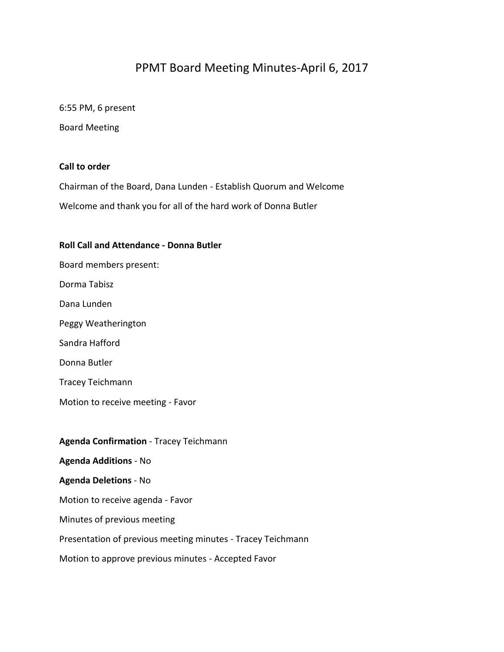# PPMT Board Meeting Minutes-April 6, 2017

6:55 PM, 6 present

Board Meeting

## **Call to order**

Chairman of the Board, Dana Lunden - Establish Quorum and Welcome Welcome and thank you for all of the hard work of Donna Butler

### **Roll Call and Attendance - Donna Butler**

Board members present: Dorma Tabisz Dana Lunden Peggy Weatherington Sandra Hafford Donna Butler Tracey Teichmann Motion to receive meeting - Favor **Agenda Confirmation** - Tracey Teichmann **Agenda Additions** - No **Agenda Deletions** - No

Motion to receive agenda - Favor

Minutes of previous meeting

Presentation of previous meeting minutes - Tracey Teichmann

Motion to approve previous minutes - Accepted Favor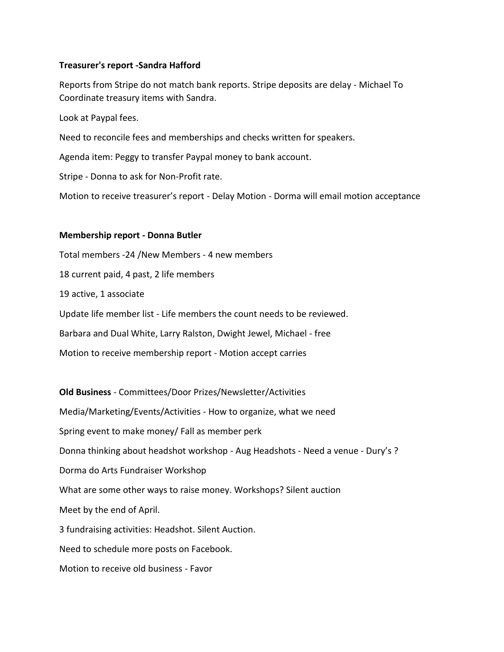## **Treasurer's report -Sandra Hafford**

Reports from Stripe do not match bank reports. Stripe deposits are delay - Michael To Coordinate treasury items with Sandra.

Look at Paypal fees.

Need to reconcile fees and memberships and checks written for speakers.

Agenda item: Peggy to transfer Paypal money to bank account.

Stripe - Donna to ask for Non-Profit rate.

Motion to receive treasurer's report - Delay Motion - Dorma will email motion acceptance

### **Membership report - Donna Butler**

Total members -24 /New Members - 4 new members 18 current paid, 4 past, 2 life members 19 active, 1 associate Update life member list - Life members the count needs to be reviewed. Barbara and Dual White, Larry Ralston, Dwight Jewel, Michael - free Motion to receive membership report - Motion accept carries

**Old Business** - Committees/Door Prizes/Newsletter/Activities Media/Marketing/Events/Activities - How to organize, what we need Spring event to make money/ Fall as member perk Donna thinking about headshot workshop - Aug Headshots - Need a venue - Dury's ? Dorma do Arts Fundraiser Workshop What are some other ways to raise money. Workshops? Silent auction Meet by the end of April. 3 fundraising activities: Headshot. Silent Auction. Need to schedule more posts on Facebook. Motion to receive old business - Favor